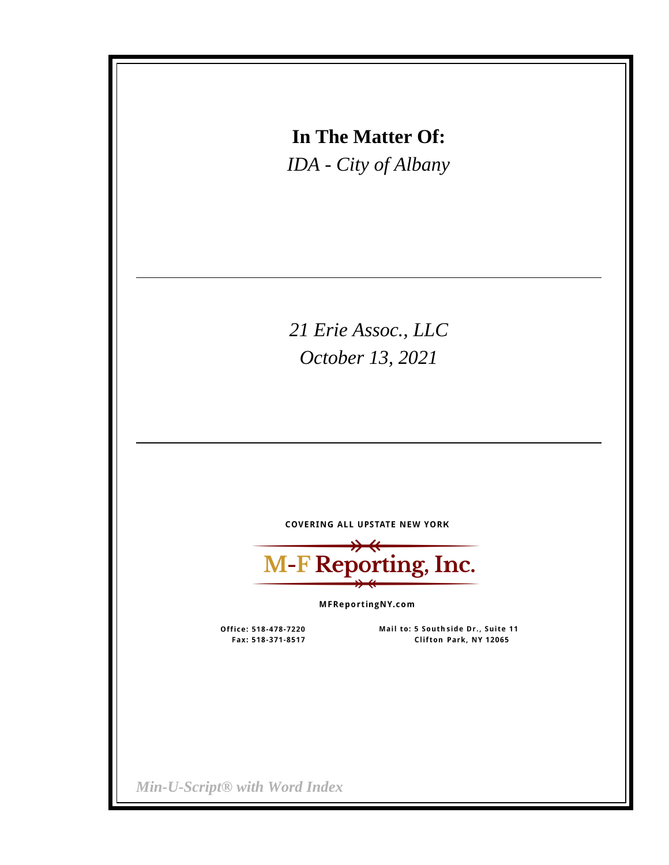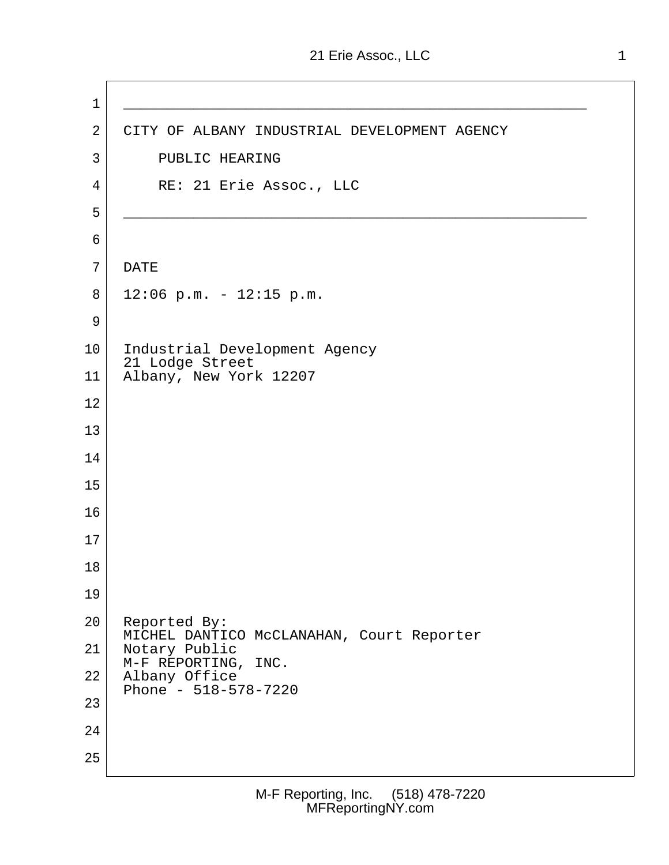21 Erie Assoc., LLC 1

 1 \_\_\_\_\_\_\_\_\_\_\_\_\_\_\_\_\_\_\_\_\_\_\_\_\_\_\_\_\_\_\_\_\_\_\_\_\_\_\_\_\_\_\_\_\_\_\_\_\_\_\_\_\_ 2 CITY OF ALBANY INDUSTRIAL DEVELOPMENT AGENCY 3 PUBLIC HEARING 4 RE: 21 Erie Assoc., LLC 5 \_\_\_\_\_\_\_\_\_\_\_\_\_\_\_\_\_\_\_\_\_\_\_\_\_\_\_\_\_\_\_\_\_\_\_\_\_\_\_\_\_\_\_\_\_\_\_\_\_\_\_\_\_  $6 \mid$  7 DATE  $8$  12:06 p.m. - 12:15 p.m. 9 10 | Industrial Development Agency 21 Lodge Street 11 Albany, New York 12207 12 13 14 15 16 17 18 19 20 Reported By: MICHEL DANTICO McCLANAHAN, Court Reporter 21 Notary Public M-F REPORTING, INC. 22 Albany Office Phone - 518-578-7220 23 24 25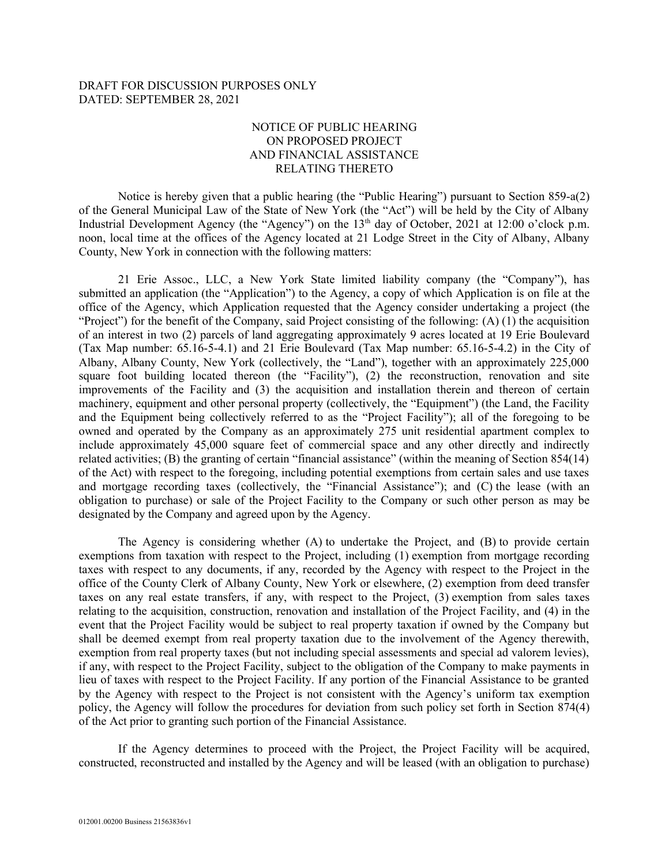## DRAFT FOR DISCUSSION PURPOSES ONLY DATED: SEPTEMBER 28, 2021

## NOTICE OF PUBLIC HEARING ON PROPOSED PROJECT AND FINANCIAL ASSISTANCE RELATING THERETO

Notice is hereby given that a public hearing (the "Public Hearing") pursuant to Section 859-a(2) of the General Municipal Law of the State of New York (the "Act") will be held by the City of Albany Industrial Development Agency (the "Agency") on the 13<sup>th</sup> day of October, 2021 at 12:00 o'clock p.m. noon, local time at the offices of the Agency located at 21 Lodge Street in the City of Albany, Albany County, New York in connection with the following matters:

21 Erie Assoc., LLC, a New York State limited liability company (the "Company"), has submitted an application (the "Application") to the Agency, a copy of which Application is on file at the office of the Agency, which Application requested that the Agency consider undertaking a project (the "Project") for the benefit of the Company, said Project consisting of the following: (A) (1) the acquisition of an interest in two (2) parcels of land aggregating approximately 9 acres located at 19 Erie Boulevard (Tax Map number: 65.16-5-4.1) and 21 Erie Boulevard (Tax Map number: 65.16-5-4.2) in the City of Albany, Albany County, New York (collectively, the "Land"), together with an approximately 225,000 square foot building located thereon (the "Facility"), (2) the reconstruction, renovation and site improvements of the Facility and (3) the acquisition and installation therein and thereon of certain machinery, equipment and other personal property (collectively, the "Equipment") (the Land, the Facility and the Equipment being collectively referred to as the "Project Facility"); all of the foregoing to be owned and operated by the Company as an approximately 275 unit residential apartment complex to include approximately 45,000 square feet of commercial space and any other directly and indirectly related activities; (B) the granting of certain "financial assistance" (within the meaning of Section 854(14) of the Act) with respect to the foregoing, including potential exemptions from certain sales and use taxes and mortgage recording taxes (collectively, the "Financial Assistance"); and (C) the lease (with an obligation to purchase) or sale of the Project Facility to the Company or such other person as may be designated by the Company and agreed upon by the Agency.

The Agency is considering whether (A) to undertake the Project, and (B) to provide certain exemptions from taxation with respect to the Project, including (1) exemption from mortgage recording taxes with respect to any documents, if any, recorded by the Agency with respect to the Project in the office of the County Clerk of Albany County, New York or elsewhere, (2) exemption from deed transfer taxes on any real estate transfers, if any, with respect to the Project, (3) exemption from sales taxes relating to the acquisition, construction, renovation and installation of the Project Facility, and (4) in the event that the Project Facility would be subject to real property taxation if owned by the Company but shall be deemed exempt from real property taxation due to the involvement of the Agency therewith, exemption from real property taxes (but not including special assessments and special ad valorem levies), if any, with respect to the Project Facility, subject to the obligation of the Company to make payments in lieu of taxes with respect to the Project Facility. If any portion of the Financial Assistance to be granted by the Agency with respect to the Project is not consistent with the Agency's uniform tax exemption policy, the Agency will follow the procedures for deviation from such policy set forth in Section 874(4) of the Act prior to granting such portion of the Financial Assistance.

If the Agency determines to proceed with the Project, the Project Facility will be acquired, constructed, reconstructed and installed by the Agency and will be leased (with an obligation to purchase)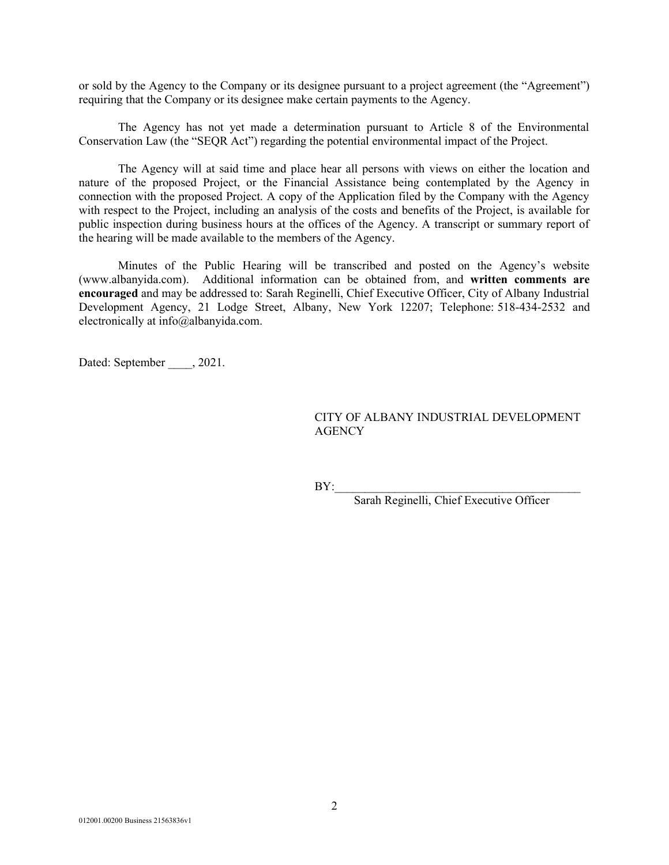or sold by the Agency to the Company or its designee pursuant to a project agreement (the "Agreement") requiring that the Company or its designee make certain payments to the Agency.

The Agency has not yet made a determination pursuant to Article 8 of the Environmental Conservation Law (the "SEQR Act") regarding the potential environmental impact of the Project.

The Agency will at said time and place hear all persons with views on either the location and nature of the proposed Project, or the Financial Assistance being contemplated by the Agency in connection with the proposed Project. A copy of the Application filed by the Company with the Agency with respect to the Project, including an analysis of the costs and benefits of the Project, is available for public inspection during business hours at the offices of the Agency. A transcript or summary report of the hearing will be made available to the members of the Agency.

Minutes of the Public Hearing will be transcribed and posted on the Agency's website (www.albanyida.com). Additional information can be obtained from, and written comments are encouraged and may be addressed to: Sarah Reginelli, Chief Executive Officer, City of Albany Industrial Development Agency, 21 Lodge Street, Albany, New York 12207; Telephone: 518-434-2532 and electronically at info@albanyida.com.

Dated: September , 2021.

## CITY OF ALBANY INDUSTRIAL DEVELOPMENT **AGENCY**

 $BY:$ 

Sarah Reginelli, Chief Executive Officer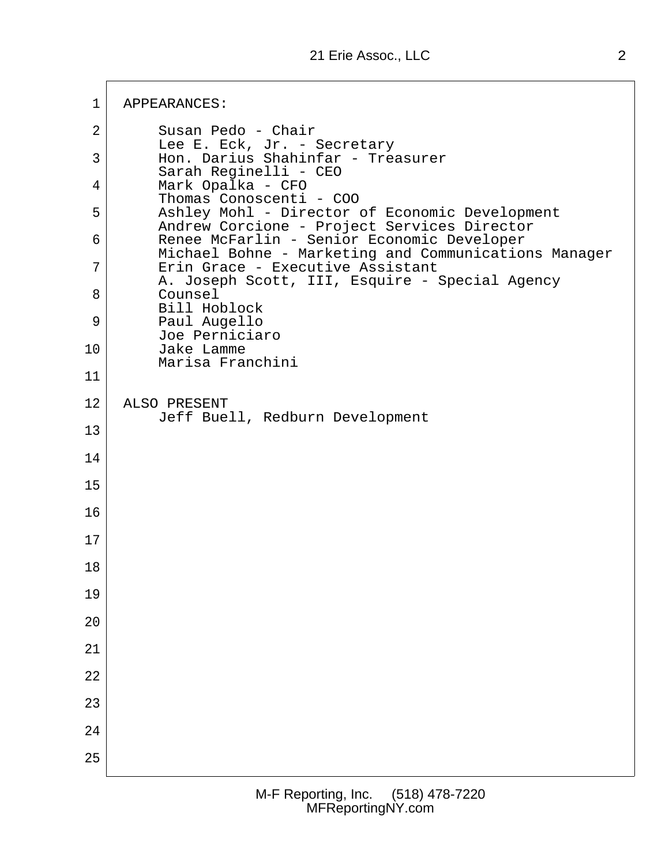1 APPEARANCES: 2 Susan Pedo - Chair Lee E. Eck, Jr. - Secretary 3 Hon. Darius Shahinfar - Treasurer Sarah Reginelli - CEO 4 Mark Opalka - CFO Thomas Conoscenti - COO 5 Ashley Mohl - Director of Economic Development Andrew Corcione - Project Services Director 6 Renee McFarlin - Senior Economic Developer Michael Bohne - Marketing and Communications Manager 7 Erin Grace - Executive Assistant A. Joseph Scott, III, Esquire - Special Agency 8 Counsel Bill Hoblock 9 Paul Augello Joe Perniciaro 10 Jake Lamme Marisa Franchini 11 12 ALSO PRESENT Jeff Buell, Redburn Development 13 14 15 16 17 18 19 20 21 22 23 24 25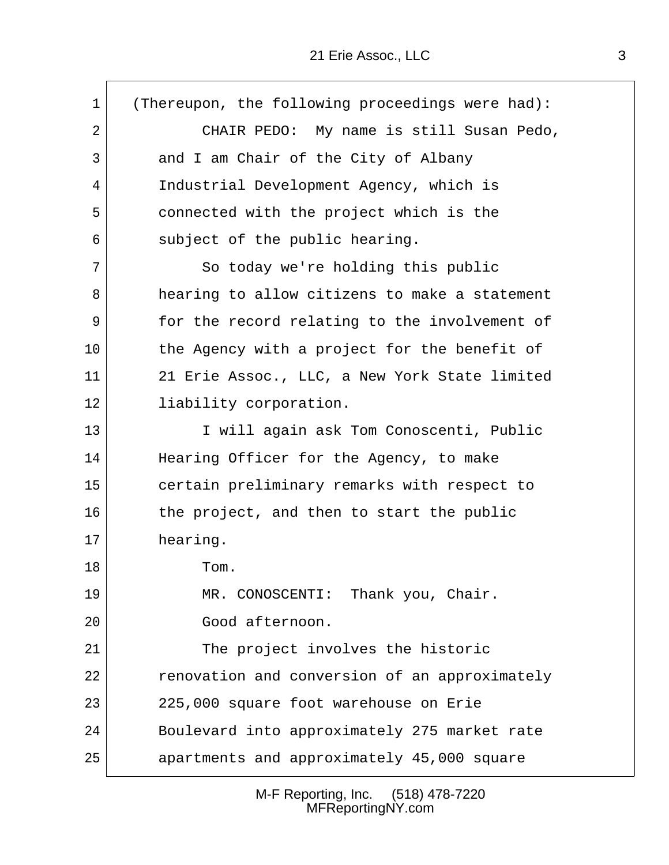| 1  | (Thereupon, the following proceedings were had): |
|----|--------------------------------------------------|
| 2  | CHAIR PEDO: My name is still Susan Pedo,         |
| 3  | and I am Chair of the City of Albany             |
| 4  | Industrial Development Agency, which is          |
| 5  | connected with the project which is the          |
| 6  | subject of the public hearing.                   |
| 7  | So today we're holding this public               |
| 8  | hearing to allow citizens to make a statement    |
| 9  | for the record relating to the involvement of    |
| 10 | the Agency with a project for the benefit of     |
| 11 | 21 Erie Assoc., LLC, a New York State limited    |
| 12 | liability corporation.                           |
| 13 | I will again ask Tom Conoscenti, Public          |
| 14 | Hearing Officer for the Agency, to make          |
| 15 | certain preliminary remarks with respect to      |
| 16 | the project, and then to start the public        |
| 17 | hearing.                                         |
| 18 | Tom.                                             |
| 19 | MR. CONOSCENTI: Thank you, Chair.                |
| 20 | Good afternoon.                                  |
| 21 | The project involves the historic                |
| 22 | renovation and conversion of an approximately    |
| 23 | 225,000 square foot warehouse on Erie            |
| 24 | Boulevard into approximately 275 market rate     |
| 25 | apartments and approximately 45,000 square       |
|    |                                                  |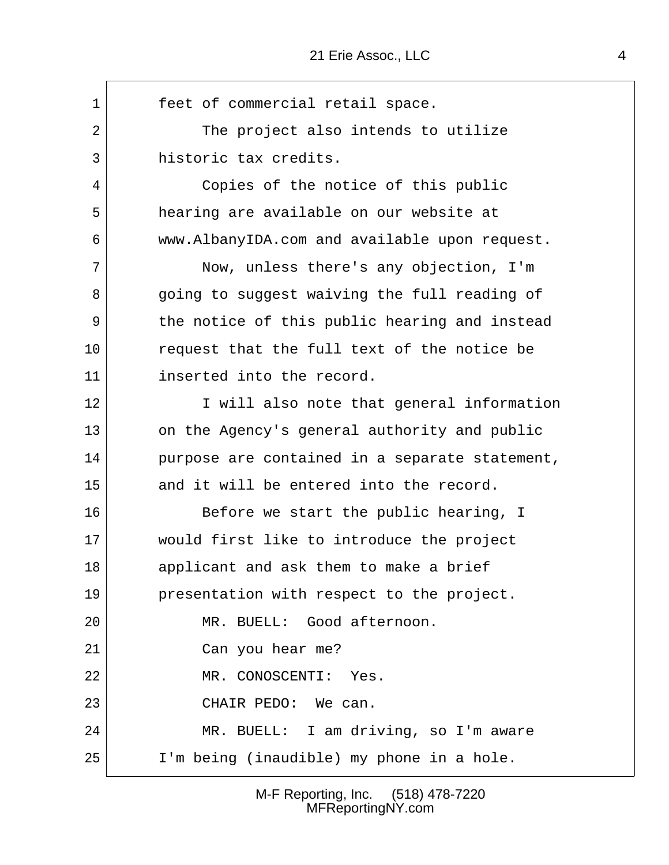| 1  | feet of commercial retail space.               |
|----|------------------------------------------------|
| 2  | The project also intends to utilize            |
| 3  | historic tax credits.                          |
| 4  | Copies of the notice of this public            |
| 5  | hearing are available on our website at        |
| 6  | www.AlbanyIDA.com and available upon request.  |
| 7  | Now, unless there's any objection, I'm         |
| 8  | going to suggest waiving the full reading of   |
| 9  | the notice of this public hearing and instead  |
| 10 | request that the full text of the notice be    |
| 11 | inserted into the record.                      |
| 12 | I will also note that general information      |
| 13 | on the Agency's general authority and public   |
| 14 | purpose are contained in a separate statement, |
| 15 | and it will be entered into the record.        |
| 16 | Before we start the public hearing, I          |
| 17 | would first like to introduce the project      |
| 18 | applicant and ask them to make a brief         |
| 19 | presentation with respect to the project.      |
| 20 | MR. BUELL: Good afternoon.                     |
| 21 | Can you hear me?                               |
| 22 | MR. CONOSCENTI:<br>Yes.                        |
| 23 | CHAIR PEDO: We can.                            |
| 24 | MR. BUELL: I am driving, so I'm aware          |
| 25 | I'm being (inaudible) my phone in a hole.      |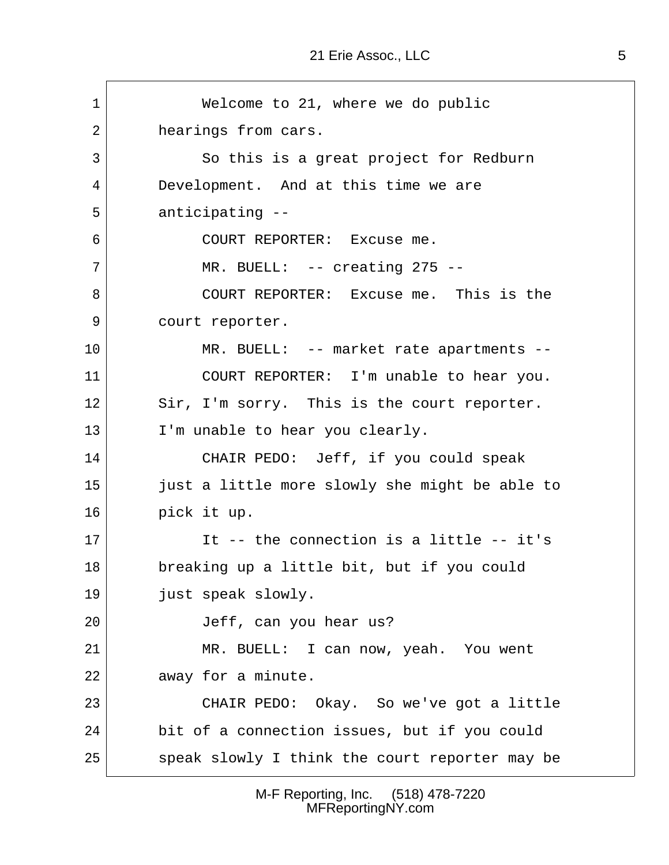1 Welcome to 21, where we do public 2 hearings from cars. 3 So this is a great project for Redburn 4 Development. And at this time we are 5 anticipating -- 6 COURT REPORTER: Excuse me. 7 | MR. BUELL: -- creating 275 --8 COURT REPORTER: Excuse me. This is the 9 court reporter. 10 MR. BUELL: -- market rate apartments -- 11 COURT REPORTER: I'm unable to hear you. 12 Sir, I'm sorry. This is the court reporter. 13 I'm unable to hear you clearly. 14 CHAIR PEDO: Jeff, if you could speak 15 just a little more slowly she might be able to 16 pick it up. 17 It -- the connection is a little -- it's 18 breaking up a little bit, but if you could 19 just speak slowly. 20 Jeff, can you hear us? 21 MR. BUELL: I can now, yeah. You went 22 away for a minute. 23 CHAIR PEDO: Okay. So we've got a little 24 bit of a connection issues, but if you could 25 speak slowly I think the court reporter may be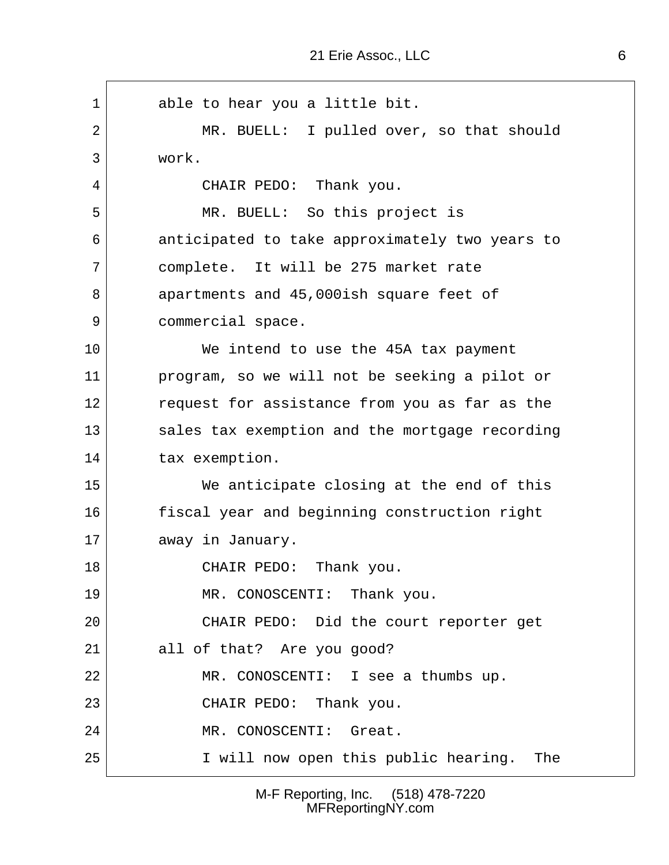21 Erie Assoc., LLC 6

1 able to hear you a little bit. 2 MR. BUELL: I pulled over, so that should 3 work. 4 CHAIR PEDO: Thank you. 5 MR. BUELL: So this project is 6 anticipated to take approximately two years to 7 complete. It will be 275 market rate 8 apartments and 45,000ish square feet of 9 commercial space. 10 We intend to use the 45A tax payment 11 program, so we will not be seeking a pilot or 12 request for assistance from you as far as the 13 Sales tax exemption and the mortgage recording 14 tax exemption. 15 We anticipate closing at the end of this 16 fiscal year and beginning construction right 17 away in January. 18 CHAIR PEDO: Thank you. 19 MR. CONOSCENTI: Thank you. 20 CHAIR PEDO: Did the court reporter get 21 all of that? Are you good? 22 MR. CONOSCENTI: I see a thumbs up. 23 CHAIR PEDO: Thank you. 24 MR. CONOSCENTI: Great. 25 I will now open this public hearing. The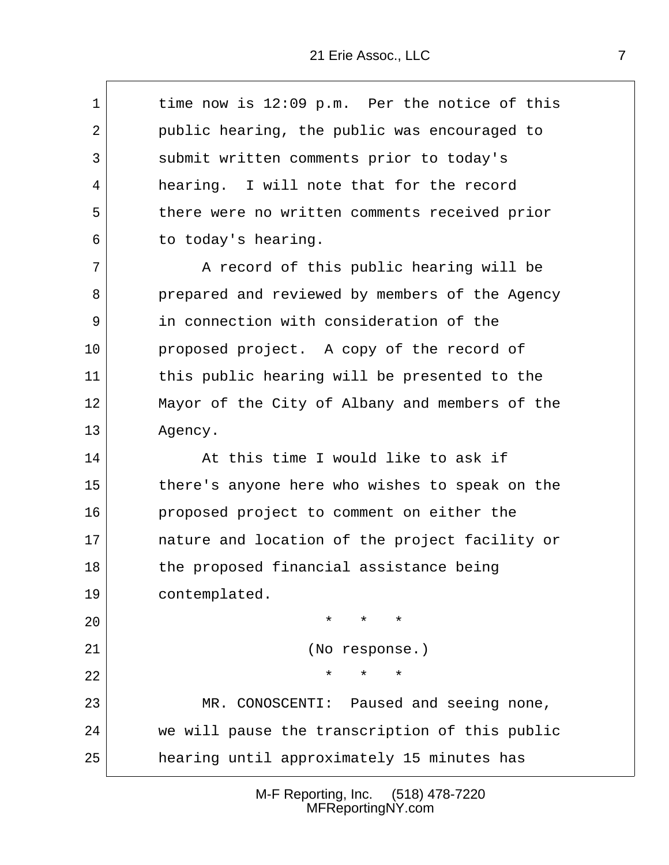$\overline{\phantom{a}}$ 

| $\mathbf 1$ | time now is 12:09 p.m. Per the notice of this  |
|-------------|------------------------------------------------|
| 2           | public hearing, the public was encouraged to   |
| 3           | submit written comments prior to today's       |
| 4           | hearing. I will note that for the record       |
| 5           | there were no written comments received prior  |
| 6           | to today's hearing.                            |
| 7           | A record of this public hearing will be        |
| 8           | prepared and reviewed by members of the Agency |
| 9           | in connection with consideration of the        |
| 10          | proposed project. A copy of the record of      |
| 11          | this public hearing will be presented to the   |
| 12          | Mayor of the City of Albany and members of the |
| 13          | Agency.                                        |
| 14          | At this time I would like to ask if            |
| 15          | there's anyone here who wishes to speak on the |
| 16          | proposed project to comment on either the      |
| 17          | nature and location of the project facility or |
| 18          | the proposed financial assistance being        |
| 19          | contemplated.                                  |
| 20          | $\star$<br>$\star$<br>$\star$                  |
| 21          | (No response.)                                 |
| 22          | ¥<br>*<br>$\star$                              |
| 23          | MR. CONOSCENTI: Paused and seeing none,        |
| 24          | we will pause the transcription of this public |
| 25          | hearing until approximately 15 minutes has     |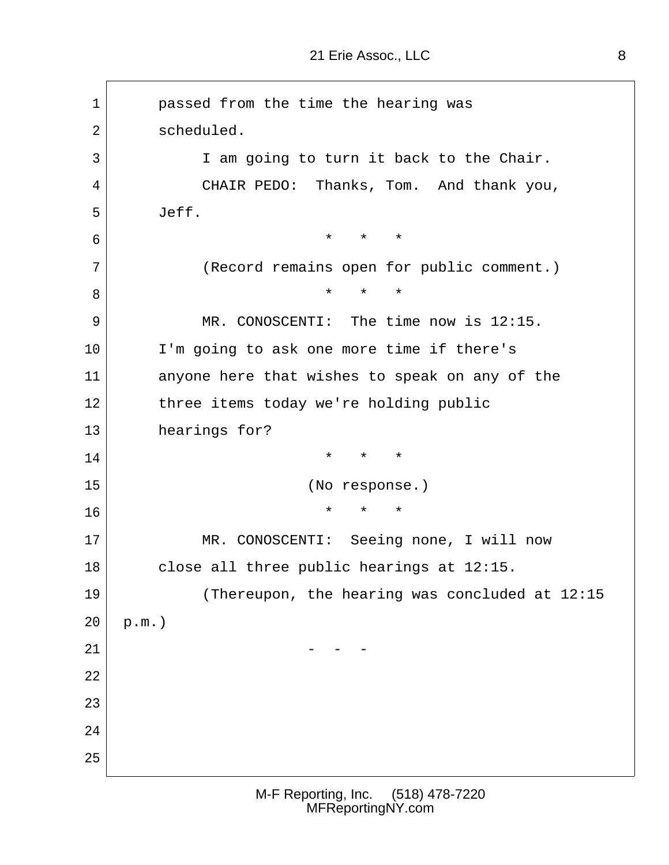1 passed from the time the hearing was 2 scheduled. 3 I am going to turn it back to the Chair. 4 CHAIR PEDO: Thanks, Tom. And thank you, 5 Jeff.  $6$  \* \* \* 7 (Record remains open for public comment.) 8 **\*** \* \* \* 9 MR. CONOSCENTI: The time now is 12:15. 10 I'm going to ask one more time if there's 11 anyone here that wishes to speak on any of the 12 three items today we're holding public 13 hearings for?  $14$ 15 (No response.)  $16$  \* \* \* 17 MR. CONOSCENTI: Seeing none, I will now 18 close all three public hearings at 12:15. 19 (Thereupon, the hearing was concluded at 12:15  $20$  p.m.)  $21$ 22 23 24 25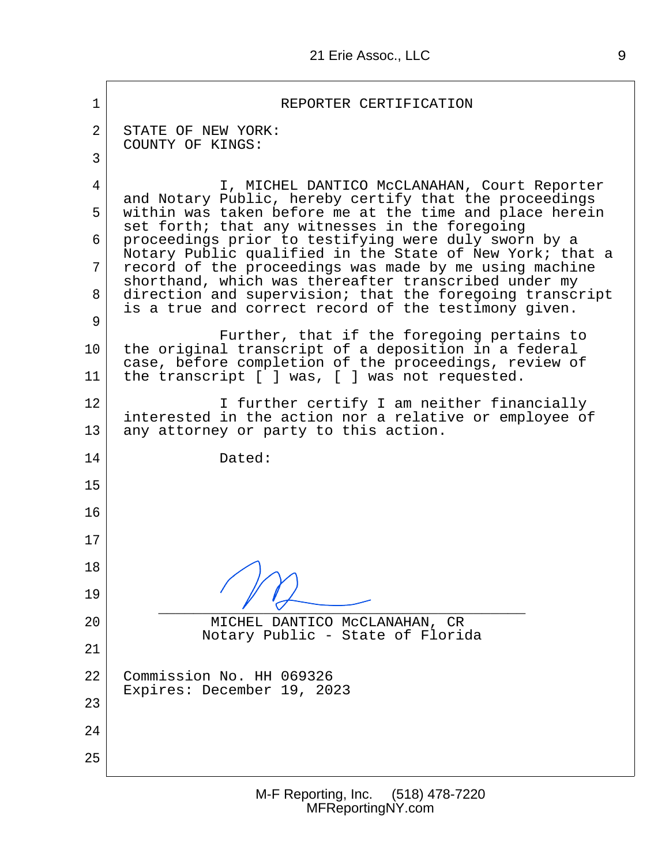| $\mathbf 1$ | REPORTER CERTIFICATION                                                                                                                        |  |
|-------------|-----------------------------------------------------------------------------------------------------------------------------------------------|--|
| 2           | STATE OF NEW YORK:<br>COUNTY OF KINGS:                                                                                                        |  |
| 3           |                                                                                                                                               |  |
| 4           | I, MICHEL DANTICO McCLANAHAN, Court Reporter<br>and Notary Public, hereby certify that the proceedings                                        |  |
| 5           | within was taken before me at the time and place herein<br>set forth; that any witnesses in the foregoing                                     |  |
| 6           | proceedings prior to testifying were duly sworn by a<br>Notary Public qualified in the State of New York; that a                              |  |
| 7           | record of the proceedings was made by me using machine<br>shorthand, which was thereafter transcribed under my                                |  |
| 8           | direction and supervision; that the foregoing transcript<br>is a true and correct record of the testimony given.                              |  |
| 9           | Further, that if the foregoing pertains to                                                                                                    |  |
| 10          | the original transcript of a deposition in a federal<br>case, before completion of the proceedings, review of                                 |  |
| 11          | the transcript [ ] was, [ ] was not requested.                                                                                                |  |
| 12<br>13    | I further certify I am neither financially<br>interested in the action nor a relative or employee of<br>any attorney or party to this action. |  |
| 14          | Dated:                                                                                                                                        |  |
| 15          |                                                                                                                                               |  |
| 16          |                                                                                                                                               |  |
| 17          |                                                                                                                                               |  |
| 18          |                                                                                                                                               |  |
| 19          |                                                                                                                                               |  |
| 20          | MICHEL DANTICO MCCLANAHAN, CR<br>Notary Public - State of Florida                                                                             |  |
| 21          |                                                                                                                                               |  |
| 22          | Commission No. HH 069326<br>Expires: December 19, 2023                                                                                        |  |
| 23          |                                                                                                                                               |  |
| 24          |                                                                                                                                               |  |
| 25          |                                                                                                                                               |  |
|             |                                                                                                                                               |  |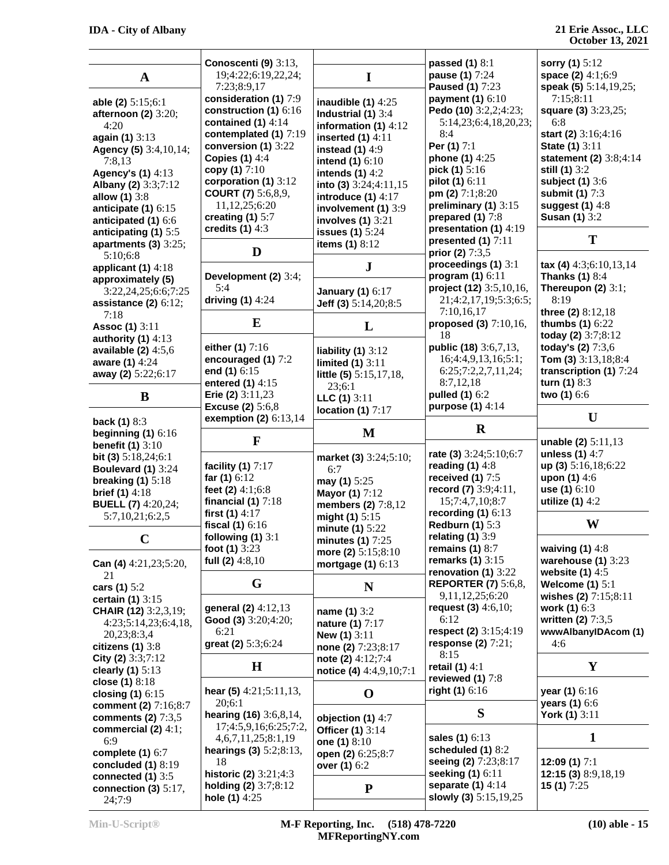|                                                     | Conoscenti (9) 3:13,                    |                                    | passed (1) 8:1                               | sorry (1) 5:12           |
|-----------------------------------------------------|-----------------------------------------|------------------------------------|----------------------------------------------|--------------------------|
| $\mathbf{A}$                                        | 19;4:22;6:19,22,24;                     | I                                  | pause (1) 7:24                               | space (2) 4:1;6:9        |
|                                                     | 7:23;8:9,17                             |                                    | <b>Paused (1)</b> 7:23                       | speak (5) 5:14,19,25;    |
| able (2) 5:15;6:1                                   | consideration (1) 7:9                   | inaudible $(1)$ 4:25               | payment (1) 6:10                             | 7:15;8:11                |
| afternoon (2) 3:20;                                 | construction $(1)$ 6:16                 | Industrial (1) 3:4                 | Pedo (10) 3:2,2;4:23;                        | square (3) 3:23,25;      |
| 4:20                                                | contained (1) $4:14$                    | information (1) $4:12$             | 5:14,23;6:4,18,20,23;                        | 6:8                      |
| again (1) 3:13                                      | contemplated (1) 7:19                   | inserted $(1)$ 4:11                | 8:4                                          | start (2) 3:16;4:16      |
| Agency (5) 3:4, 10, 14;                             | conversion $(1)$ 3:22                   | instead $(1)$ 4:9                  | Per (1) 7:1                                  | <b>State (1)</b> 3:11    |
| 7:8,13                                              | <b>Copies (1) 4:4</b>                   | intend $(1)$ 6:10                  | phone (1) 4:25                               | statement (2) 3:8;4:14   |
| Agency's (1) 4:13                                   | copy (1) 7:10                           | intends $(1)$ 4:2                  | pick (1) 5:16                                | still (1) 3:2            |
| Albany (2) 3:3;7:12                                 | corporation (1) 3:12                    | into (3) 3:24;4:11,15              | pilot (1) 6:11                               | subject $(1)$ 3:6        |
| allow (1) 3:8                                       | <b>COURT (7)</b> 5:6,8,9,               | introduce $(1)$ 4:17               | pm (2) $7:1;8:20$                            | submit (1) 7:3           |
| anticipate $(1)$ 6:15                               | 11,12,25;6:20                           | involvement (1) 3:9                | preliminary $(1)$ 3:15                       | suggest $(1)$ 4:8        |
| anticipated (1) 6:6                                 | creating $(1)$ 5:7                      | involves $(1)$ 3:21                | prepared (1) 7:8                             | <b>Susan (1)</b> 3:2     |
| anticipating (1) 5:5                                | credits $(1)$ 4:3                       | <b>issues (1)</b> 5:24             | presentation (1) 4:19                        |                          |
| apartments $(3)$ 3:25;                              |                                         | items $(1)$ 8:12                   | presented (1) 7:11                           | T                        |
| 5:10;6:8                                            | D                                       |                                    | prior (2) $7:3,5$                            |                          |
| applicant $(1)$ 4:18                                |                                         | ${\bf J}$                          | proceedings (1) 3:1                          | tax (4) $4:3;6:10,13,14$ |
| approximately (5)                                   | Development (2) 3:4;                    |                                    | program $(1)$ 6:11                           | <b>Thanks (1) 8:4</b>    |
| 3:22,24,25;6:6;7:25                                 | 5:4                                     | <b>January (1)</b> 6:17            | project (12) 3:5,10,16,                      | Thereupon (2) $3:1;$     |
| assistance $(2)$ 6:12;                              | driving $(1)$ 4:24                      | Jeff (3) $5:14,20;8:5$             | 21;4:2,17,19;5:3;6:5;                        | 8:19                     |
| 7:18                                                |                                         |                                    | 7:10,16,17                                   | three (2) $8:12,18$      |
| <b>Assoc (1)</b> 3:11                               | E                                       | L                                  | proposed (3) 7:10,16,                        | thumbs $(1)$ 6:22        |
| authority $(1)$ 4:13                                |                                         |                                    | 18                                           | today (2) 3:7;8:12       |
| available $(2)$ 4:5,6                               | either (1) 7:16                         | liability $(1)$ 3:12               | public (18) 3:6,7,13,                        | today's (2) 7:3,6        |
| aware (1) 4:24                                      | encouraged (1) 7:2                      | limited $(1)$ 3:11                 | 16;4:4,9,13,16;5:1;                          | Tom (3) $3:13,18;8:4$    |
| away (2) 5:22;6:17                                  | end (1) 6:15                            | little (5) 5:15,17,18,             | 6:25;7:2,2,7,11,24;                          | transcription (1) 7:24   |
|                                                     | entered (1) 4:15                        | 23;6:1                             | 8:7,12,18                                    | turn $(1)$ 8:3           |
| B                                                   | Erie (2) $3:11,23$                      | LLC $(1)$ 3:11                     | pulled (1) 6:2                               | two (1) 6:6              |
|                                                     | <b>Excuse (2)</b> 5:6,8                 | location (1) $7:17$                | purpose (1) 4:14                             |                          |
| back $(1)$ 8:3                                      | exemption (2) $6:13,14$                 |                                    |                                              | U                        |
|                                                     |                                         |                                    |                                              |                          |
|                                                     |                                         |                                    | $\bf R$                                      |                          |
| beginning $(1)$ 6:16                                | $\mathbf{F}$                            | M                                  |                                              | unable (2) $5:11,13$     |
| benefit $(1)$ 3:10                                  |                                         |                                    | rate (3) 3:24;5:10;6:7                       | unless $(1)$ 4:7         |
| bit (3) $5:18,24;6:1$                               | facility (1) 7:17                       | market (3) 3:24;5:10;              | reading $(1)$ 4:8                            | up (3) 5:16,18;6:22      |
| Boulevard (1) 3:24                                  | far $(1)$ 6:12                          | 6:7                                | received (1) 7:5                             | upon $(1)$ 4:6           |
| breaking $(1)$ 5:18                                 | feet (2) $4:1;6:8$                      | may (1) 5:25                       | record (7) 3:9;4:11,                         | use $(1)$ 6:10           |
| brief $(1)$ 4:18                                    | financial $(1)$ $7:18$                  | Mayor (1) 7:12                     | 15;7:4,7,10;8:7                              | utilize $(1)$ 4:2        |
| <b>BUELL (7)</b> 4:20,24;                           | first $(1)$ 4:17                        | members (2) 7:8,12                 | recording $(1)$ 6:13                         |                          |
| 5:7,10,21;6:2,5                                     | fiscal $(1)$ 6:16                       | might $(1)$ 5:15                   | <b>Redburn (1) 5:3</b>                       | W                        |
| $\mathbf C$                                         | following $(1)$ 3:1                     | minute (1) 5:22                    | relating $(1)$ 3:9                           |                          |
|                                                     | foot $(1)$ 3:23                         | minutes (1) 7:25                   | remains $(1)$ 8:7                            | waiving $(1)$ 4:8        |
|                                                     | full (2) $4:8,10$                       | more (2) $5:15;8:10$               | remarks (1) 3:15                             | warehouse $(1)$ 3:23     |
| Can (4) 4:21,23;5:20,<br>21                         |                                         | mortgage (1) 6:13                  | renovation $(1)$ 3:22                        | website $(1)$ 4:5        |
|                                                     | G                                       | N                                  | <b>REPORTER (7)</b> 5:6,8,                   | Welcome $(1)$ 5:1        |
| cars (1) 5:2                                        |                                         |                                    | 9,11,12,25;6:20                              | wishes (2) $7:15;8:11$   |
| certain (1) 3:15                                    | general (2) 4:12,13                     |                                    | request (3) $4:6,10;$                        | work $(1)$ 6:3           |
| <b>CHAIR (12)</b> 3:2,3,19;<br>4:23;5:14,23;6:4,18, | Good (3) $3:20;4:20;$                   | name (1) 3:2                       | 6:12                                         | written (2) 7:3,5        |
| 20,23;8:3,4                                         | 6:21                                    | nature (1) 7:17                    | respect (2) 3:15;4:19                        | wwwAlbanyIDAcom (1)      |
| citizens $(1)$ 3:8                                  | great (2) 5:3;6:24                      | New (1) 3:11<br>none (2) 7:23;8:17 | response (2) $7:21$ ;                        | 4:6                      |
| City (2) $3:3;7:12$                                 |                                         | note (2) 4:12;7:4                  | 8:15                                         |                          |
| clearly $(1)$ 5:13                                  | H                                       | notice (4) 4:4,9,10;7:1            | retail $(1)$ 4:1                             | Y                        |
| close $(1)$ 8:18                                    |                                         |                                    | reviewed $(1)$ 7:8                           |                          |
| closing $(1)$ 6:15                                  | hear (5) $4:21;5:11,13$ ,               | $\mathbf 0$                        | right $(1)$ 6:16                             | year (1) 6:16            |
| comment (2) 7:16;8:7                                | 20:6:1                                  |                                    |                                              | years (1) 6:6            |
| comments (2) $7:3,5$                                | hearing (16) 3:6,8,14,                  | objection (1) 4:7                  | S                                            | York (1) 3:11            |
| commercial (2) $4:1;$                               | 17;4:5,9,16;6:25;7:2,                   | <b>Officer (1)</b> 3:14            |                                              |                          |
| 6:9                                                 | 4, 6, 7, 11, 25; 8: 1, 19               | one (1) 8:10                       | sales (1) 6:13                               | 1                        |
| complete $(1)$ 6:7                                  | hearings (3) $5:2;8:13$ ,               | open (2) 6:25;8:7                  | scheduled (1) 8:2                            |                          |
| concluded $(1)$ 8:19                                | 18                                      | over (1) 6:2                       | seeing (2) 7:23;8:17                         | 12:09 (1) $7:1$          |
| connected $(1)$ 3:5                                 | historic (2) 3:21;4:3                   |                                    | seeking (1) 6:11                             | 12:15 (3) 8:9,18,19      |
| connection (3) $5:17$ ,<br>24;7:9                   | holding (2) $3:7;8:12$<br>hole (1) 4:25 | ${\bf P}$                          | separate $(1)$ 4:14<br>slowly (3) 5:15,19,25 | 15 $(1)$ 7:25            |

**Min-U-Script® M-F Reporting, Inc. (518) 478-7220 MFReportingNY.com**